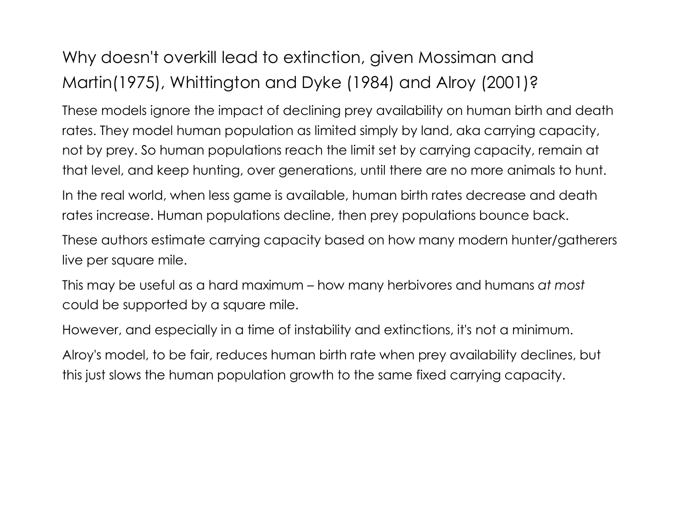### Why doesn't overkill lead to extinction, given Mossiman and Martin(1975), Whittington and Dyke (1984) and Alroy (2001)?

These models ignore the impact of declining prey availability on human birth and death rates. They model human population as limited simply by land, aka carrying capacity, not by prey. So human populations reach the limit set by carrying capacity, remain at that level, and keep hunting, over generations, until there are no more animals to hunt.

In the real world, when less game is available, human birth rates decrease and death rates increase. Human populations decline, then prey populations bounce back.

These authors estimate carrying capacity based on how many modern hunter/gatherers live per square mile.

This may be useful as a hard maximum – how many herbivores and humans *at most* could be supported by a square mile.

However, and especially in a time of instability and extinctions, it's not a minimum.

Alroy's model, to be fair, reduces human birth rate when prey availability declines, but this just slows the human population growth to the same fixed carrying capacity.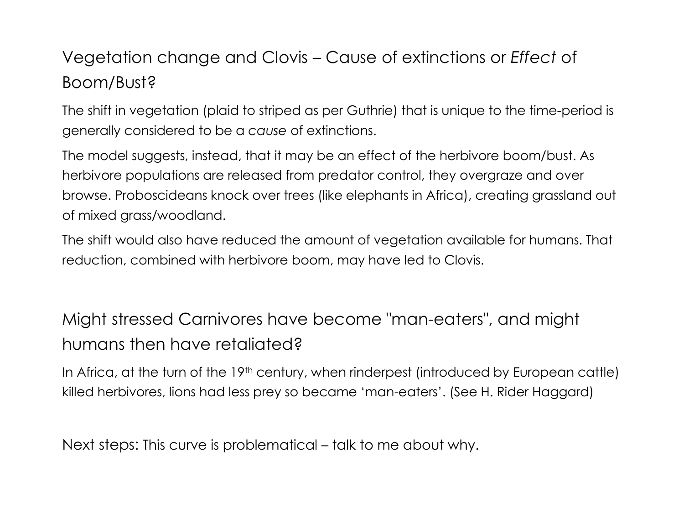## Vegetation change and Clovis – Cause of extinctions or *Effect* of Boom/Bust?

The shift in vegetation (plaid to striped as per Guthrie) that is unique to the time-period is generally considered to be a *cause* of extinctions.

The model suggests, instead, that it may be an effect of the herbivore boom/bust. As herbivore populations are released from predator control, they overgraze and over browse. Proboscideans knock over trees (like elephants in Africa), creating grassland out of mixed grass/woodland.

The shift would also have reduced the amount of vegetation available for humans. That reduction, combined with herbivore boom, may have led to Clovis.

## Might stressed Carnivores have become "man-eaters", and might humans then have retaliated?

In Africa, at the turn of the 19<sup>th</sup> century, when rinderpest (introduced by European cattle) killed herbivores, lions had less prey so became 'man-eaters'. (See H. Rider Haggard)

Next steps: This curve is problematical – talk to me about why.